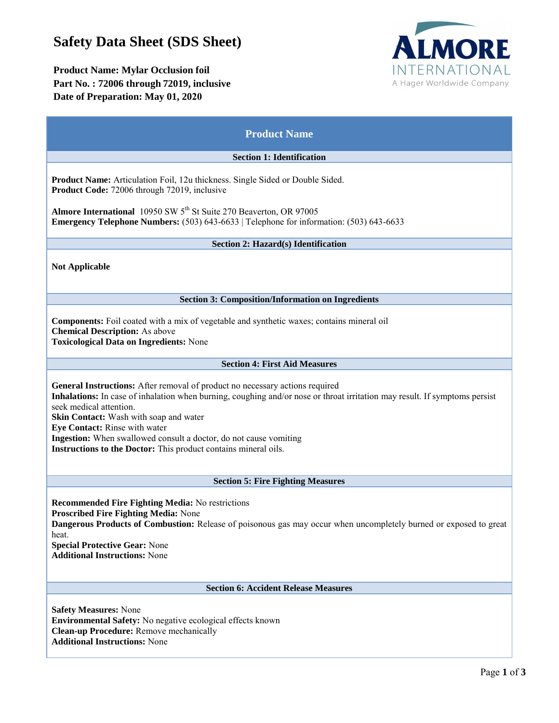# **Safety Data Sheet (SDS Sheet)**

# **Product Name: Mylar Occlusion foil Part No. : 72006 through 72019, inclusive Date of Preparation: May 01, 2020**



| <b>Product Name</b>                                                                                                                                                                                                                                                                                                                                                                                                                                      |
|----------------------------------------------------------------------------------------------------------------------------------------------------------------------------------------------------------------------------------------------------------------------------------------------------------------------------------------------------------------------------------------------------------------------------------------------------------|
| <b>Section 1: Identification</b>                                                                                                                                                                                                                                                                                                                                                                                                                         |
| Product Name: Articulation Foil, 12u thickness. Single Sided or Double Sided.<br>Product Code: 72006 through 72019, inclusive                                                                                                                                                                                                                                                                                                                            |
| Almore International 10950 SW 5 <sup>th</sup> St Suite 270 Beaverton, OR 97005<br><b>Emergency Telephone Numbers:</b> $(503)$ $643-6633$   Telephone for information: $(503)$ $643-6633$                                                                                                                                                                                                                                                                 |
| Section 2: Hazard(s) Identification                                                                                                                                                                                                                                                                                                                                                                                                                      |
| <b>Not Applicable</b>                                                                                                                                                                                                                                                                                                                                                                                                                                    |
| <b>Section 3: Composition/Information on Ingredients</b>                                                                                                                                                                                                                                                                                                                                                                                                 |
| <b>Components:</b> Foil coated with a mix of vegetable and synthetic waxes; contains mineral oil<br><b>Chemical Description:</b> As above<br><b>Toxicological Data on Ingredients: None</b>                                                                                                                                                                                                                                                              |
| <b>Section 4: First Aid Measures</b>                                                                                                                                                                                                                                                                                                                                                                                                                     |
| General Instructions: After removal of product no necessary actions required<br>Inhalations: In case of inhalation when burning, coughing and/or nose or throat irritation may result. If symptoms persist<br>seek medical attention.<br>Skin Contact: Wash with soap and water<br>Eye Contact: Rinse with water<br>Ingestion: When swallowed consult a doctor, do not cause vomiting<br>Instructions to the Doctor: This product contains mineral oils. |
| <b>Section 5: Fire Fighting Measures</b>                                                                                                                                                                                                                                                                                                                                                                                                                 |
| <b>Recommended Fire Fighting Media: No restrictions</b><br><b>Proscribed Fire Fighting Media: None</b><br>Dangerous Products of Combustion: Release of poisonous gas may occur when uncompletely burned or exposed to great<br>heat.<br><b>Special Protective Gear: None</b><br><b>Additional Instructions: None</b>                                                                                                                                     |
| <b>Section 6: Accident Release Measures</b>                                                                                                                                                                                                                                                                                                                                                                                                              |
| <b>Safety Measures: None</b><br><b>Environmental Safety:</b> No negative ecological effects known<br>Clean-up Procedure: Remove mechanically<br><b>Additional Instructions: None</b>                                                                                                                                                                                                                                                                     |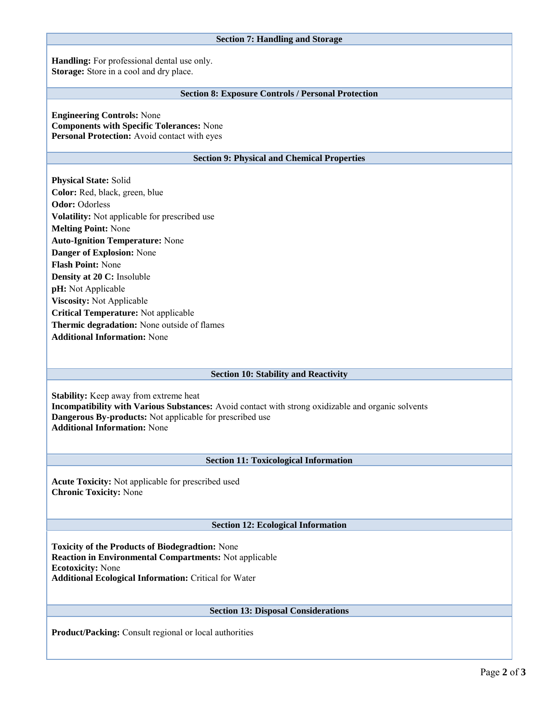## **Section 7: Handling and Storage**

**Handling:** For professional dental use only. **Storage:** Store in a cool and dry place.

# **Section 8: Exposure Controls / Personal Protection**

**Engineering Controls:** None **Components with Specific Tolerances:** None **Personal Protection:** Avoid contact with eyes

## **Section 9: Physical and Chemical Properties**

**Physical State:** Solid **Color:** Red, black, green, blue **Odor:** Odorless **Volatility:** Not applicable for prescribed use **Melting Point:** None **Auto-Ignition Temperature:** None **Danger of Explosion:** None **Flash Point:** None **Density at 20 C:** Insoluble **pH:** Not Applicable **Viscosity:** Not Applicable **Critical Temperature:** Not applicable **Thermic degradation:** None outside of flames **Additional Information:** None

#### **Section 10: Stability and Reactivity**

**Stability:** Keep away from extreme heat **Incompatibility with Various Substances:** Avoid contact with strong oxidizable and organic solvents **Dangerous By-products:** Not applicable for prescribed use **Additional Information:** None

# **Section 11: Toxicological Information**

**Acute Toxicity:** Not applicable for prescribed used **Chronic Toxicity:** None

# **Section 12: Ecological Information**

**Toxicity of the Products of Biodegradtion:** None **Reaction in Environmental Compartments:** Not applicable **Ecotoxicity:** None **Additional Ecological Information:** Critical for Water

# **Section 13: Disposal Considerations**

**Product/Packing:** Consult regional or local authorities